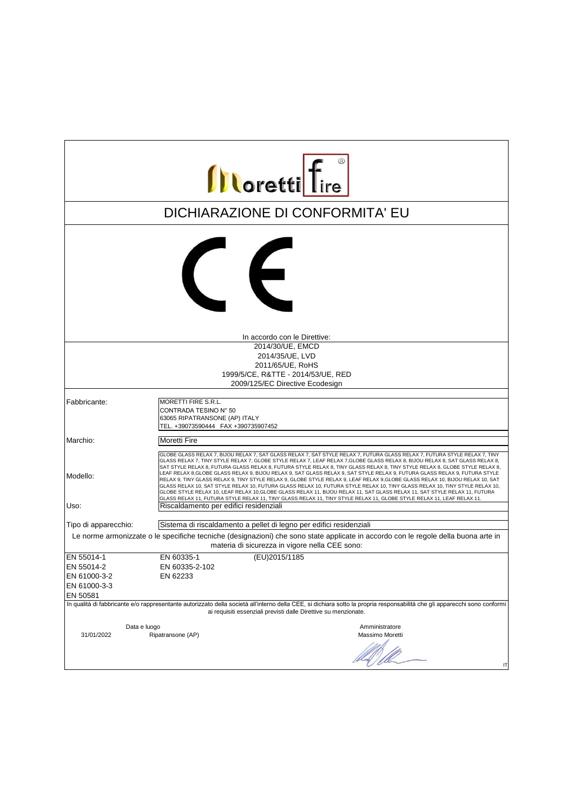| <b>Illoretti</b> Tire      |                                                                                                                                                                                                                                                                                                                                                                                                                                                                                                                                                                                                                                                                                                                                                                                                                                                                                                                                                                                                                                                                                       |
|----------------------------|---------------------------------------------------------------------------------------------------------------------------------------------------------------------------------------------------------------------------------------------------------------------------------------------------------------------------------------------------------------------------------------------------------------------------------------------------------------------------------------------------------------------------------------------------------------------------------------------------------------------------------------------------------------------------------------------------------------------------------------------------------------------------------------------------------------------------------------------------------------------------------------------------------------------------------------------------------------------------------------------------------------------------------------------------------------------------------------|
|                            | DICHIARAZIONE DI CONFORMITA' EU                                                                                                                                                                                                                                                                                                                                                                                                                                                                                                                                                                                                                                                                                                                                                                                                                                                                                                                                                                                                                                                       |
|                            | $\epsilon$                                                                                                                                                                                                                                                                                                                                                                                                                                                                                                                                                                                                                                                                                                                                                                                                                                                                                                                                                                                                                                                                            |
|                            | In accordo con le Direttive:                                                                                                                                                                                                                                                                                                                                                                                                                                                                                                                                                                                                                                                                                                                                                                                                                                                                                                                                                                                                                                                          |
|                            | 2014/30/UE, EMCD                                                                                                                                                                                                                                                                                                                                                                                                                                                                                                                                                                                                                                                                                                                                                                                                                                                                                                                                                                                                                                                                      |
|                            | 2014/35/UE, LVD                                                                                                                                                                                                                                                                                                                                                                                                                                                                                                                                                                                                                                                                                                                                                                                                                                                                                                                                                                                                                                                                       |
|                            | 2011/65/UE, RoHS                                                                                                                                                                                                                                                                                                                                                                                                                                                                                                                                                                                                                                                                                                                                                                                                                                                                                                                                                                                                                                                                      |
|                            | 1999/5/CE, R&TTE - 2014/53/UE, RED                                                                                                                                                                                                                                                                                                                                                                                                                                                                                                                                                                                                                                                                                                                                                                                                                                                                                                                                                                                                                                                    |
|                            | 2009/125/EC Directive Ecodesign                                                                                                                                                                                                                                                                                                                                                                                                                                                                                                                                                                                                                                                                                                                                                                                                                                                                                                                                                                                                                                                       |
| Fabbricante:               | MORETTI FIRE S.R.L.<br>CONTRADA TESINO N° 50<br>63065 RIPATRANSONE (AP) ITALY<br>TEL. +39073590444 FAX +390735907452                                                                                                                                                                                                                                                                                                                                                                                                                                                                                                                                                                                                                                                                                                                                                                                                                                                                                                                                                                  |
| Marchio:                   | <b>Moretti Fire</b>                                                                                                                                                                                                                                                                                                                                                                                                                                                                                                                                                                                                                                                                                                                                                                                                                                                                                                                                                                                                                                                                   |
| Modello:<br>Uso:           | GLOBE GLASS RELAX 7, BIJOU RELAX 7, SAT GLASS RELAX 7, SAT STYLE RELAX 7, FUTURA GLASS RELAX 7, FUTURA STYLE RELAX 7, TINY<br>GLASS RELAX 7, TINY STYLE RELAX 7, GLOBE STYLE RELAX 7, LEAF RELAX 7,GLOBE GLASS RELAX 8, BIJOU RELAX 8, SAT GLASS RELAX 8,<br>SAT STYLE RELAX 8, FUTURA GLASS RELAX 8, FUTURA STYLE RELAX 8, TINY GLASS RELAX 8, TINY STYLE RELAX 8, GLOBE STYLE RELAX 8,<br>LEAF RELAX 8,GLOBE GLASS RELAX 9, BIJOU RELAX 9, SAT GLASS RELAX 9, SAT STYLE RELAX 9, FUTURA GLASS RELAX 9, FUTURA STYLE<br>RELAX 9, TINY GLASS RELAX 9, TINY STYLE RELAX 9, GLOBE STYLE RELAX 9, LEAF RELAX 9, GLOBE GLASS RELAX 10, BIJOU RELAX 10, SAT<br>GLASS RELAX 10, SAT STYLE RELAX 10, FUTURA GLASS RELAX 10, FUTURA STYLE RELAX 10, TINY GLASS RELAX 10, TINY STYLE RELAX 10,<br>GLOBE STYLE RELAX 10, LEAF RELAX 10, GLOBE GLASS RELAX 11, BIJOU RELAX 11, SAT GLASS RELAX 11, SAT STYLE RELAX 11, FUTURA<br>GLASS RELAX 11, FUTURA STYLE RELAX 11, TINY GLASS RELAX 11, TINY STYLE RELAX 11, GLOBE STYLE RELAX 11, LEAF RELAX 11.<br>Riscaldamento per edifici residenziali |
| Tipo di apparecchio:       | Sistema di riscaldamento a pellet di legno per edifici residenziali                                                                                                                                                                                                                                                                                                                                                                                                                                                                                                                                                                                                                                                                                                                                                                                                                                                                                                                                                                                                                   |
|                            | Le norme armonizzate o le specifiche tecniche (designazioni) che sono state applicate in accordo con le regole della buona arte in                                                                                                                                                                                                                                                                                                                                                                                                                                                                                                                                                                                                                                                                                                                                                                                                                                                                                                                                                    |
|                            | materia di sicurezza in vigore nella CEE sono:                                                                                                                                                                                                                                                                                                                                                                                                                                                                                                                                                                                                                                                                                                                                                                                                                                                                                                                                                                                                                                        |
| EN 55014-1                 | EN 60335-1<br>(EU)2015/1185                                                                                                                                                                                                                                                                                                                                                                                                                                                                                                                                                                                                                                                                                                                                                                                                                                                                                                                                                                                                                                                           |
| EN 55014-2                 | EN 60335-2-102                                                                                                                                                                                                                                                                                                                                                                                                                                                                                                                                                                                                                                                                                                                                                                                                                                                                                                                                                                                                                                                                        |
| EN 61000-3-2               | EN 62233                                                                                                                                                                                                                                                                                                                                                                                                                                                                                                                                                                                                                                                                                                                                                                                                                                                                                                                                                                                                                                                                              |
| EN 61000-3-3               |                                                                                                                                                                                                                                                                                                                                                                                                                                                                                                                                                                                                                                                                                                                                                                                                                                                                                                                                                                                                                                                                                       |
| EN 50581                   |                                                                                                                                                                                                                                                                                                                                                                                                                                                                                                                                                                                                                                                                                                                                                                                                                                                                                                                                                                                                                                                                                       |
|                            | In qualità di fabbricante e/o rappresentante autorizzato della società all'interno della CEE, si dichiara sotto la propria responsabilità che gli apparecchi sono conformi                                                                                                                                                                                                                                                                                                                                                                                                                                                                                                                                                                                                                                                                                                                                                                                                                                                                                                            |
|                            | ai requisiti essenziali previsti dalle Direttive su menzionate.                                                                                                                                                                                                                                                                                                                                                                                                                                                                                                                                                                                                                                                                                                                                                                                                                                                                                                                                                                                                                       |
| Data e luogo<br>31/01/2022 | Amministratore<br>Ripatransone (AP)<br>Massimo Moretti                                                                                                                                                                                                                                                                                                                                                                                                                                                                                                                                                                                                                                                                                                                                                                                                                                                                                                                                                                                                                                |
|                            | IT                                                                                                                                                                                                                                                                                                                                                                                                                                                                                                                                                                                                                                                                                                                                                                                                                                                                                                                                                                                                                                                                                    |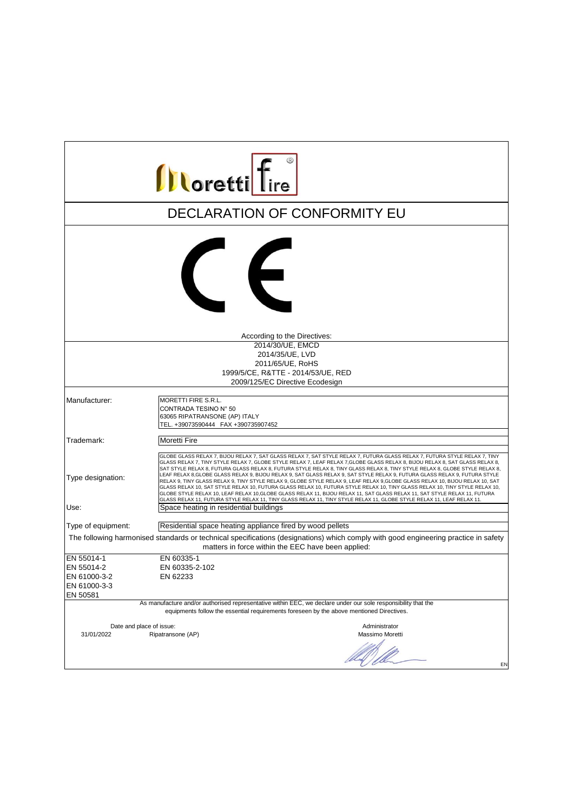| <b>Illoretti</b> Tire                                                                                                                                                                                                                                                        |                                                                                                                                                                                                                                                                                                                                                                                                                                                                                                                                                                                                                                                                                                                                                                                                                                                                                                                                                                                                                                                                                        |  |
|------------------------------------------------------------------------------------------------------------------------------------------------------------------------------------------------------------------------------------------------------------------------------|----------------------------------------------------------------------------------------------------------------------------------------------------------------------------------------------------------------------------------------------------------------------------------------------------------------------------------------------------------------------------------------------------------------------------------------------------------------------------------------------------------------------------------------------------------------------------------------------------------------------------------------------------------------------------------------------------------------------------------------------------------------------------------------------------------------------------------------------------------------------------------------------------------------------------------------------------------------------------------------------------------------------------------------------------------------------------------------|--|
|                                                                                                                                                                                                                                                                              | DECLARATION OF CONFORMITY EU                                                                                                                                                                                                                                                                                                                                                                                                                                                                                                                                                                                                                                                                                                                                                                                                                                                                                                                                                                                                                                                           |  |
|                                                                                                                                                                                                                                                                              | $\left($                                                                                                                                                                                                                                                                                                                                                                                                                                                                                                                                                                                                                                                                                                                                                                                                                                                                                                                                                                                                                                                                               |  |
|                                                                                                                                                                                                                                                                              | According to the Directives:                                                                                                                                                                                                                                                                                                                                                                                                                                                                                                                                                                                                                                                                                                                                                                                                                                                                                                                                                                                                                                                           |  |
|                                                                                                                                                                                                                                                                              | 2014/30/UE, EMCD<br>2014/35/UE, LVD<br>2011/65/UE, RoHS<br>1999/5/CE, R&TTE - 2014/53/UE, RED<br>2009/125/EC Directive Ecodesign                                                                                                                                                                                                                                                                                                                                                                                                                                                                                                                                                                                                                                                                                                                                                                                                                                                                                                                                                       |  |
| Manufacturer:                                                                                                                                                                                                                                                                | MORETTI FIRE S.R.L.<br>CONTRADA TESINO N° 50<br>63065 RIPATRANSONE (AP) ITALY<br>TEL. +39073590444 FAX +390735907452                                                                                                                                                                                                                                                                                                                                                                                                                                                                                                                                                                                                                                                                                                                                                                                                                                                                                                                                                                   |  |
| Trademark:                                                                                                                                                                                                                                                                   | Moretti Fire                                                                                                                                                                                                                                                                                                                                                                                                                                                                                                                                                                                                                                                                                                                                                                                                                                                                                                                                                                                                                                                                           |  |
| Type designation:<br>Use:                                                                                                                                                                                                                                                    | GLOBE GLASS RELAX 7, BIJOU RELAX 7, SAT GLASS RELAX 7, SAT STYLE RELAX 7, FUTURA GLASS RELAX 7, FUTURA STYLE RELAX 7, TINY<br>GLASS RELAX 7, TINY STYLE RELAX 7, GLOBE STYLE RELAX 7, LEAF RELAX 7, GLOBE GLASS RELAX 8, BIJOU RELAX 8, SAT GLASS RELAX 8,<br>SAT STYLE RELAX 8, FUTURA GLASS RELAX 8, FUTURA STYLE RELAX 8, TINY GLASS RELAX 8, TINY STYLE RELAX 8, GLOBE STYLE RELAX 8,<br>LEAF RELAX 8,GLOBE GLASS RELAX 9, BIJOU RELAX 9, SAT GLASS RELAX 9, SAT STYLE RELAX 9, FUTURA GLASS RELAX 9, FUTURA STYLE<br>RELAX 9, TINY GLASS RELAX 9, TINY STYLE RELAX 9, GLOBE STYLE RELAX 9, LEAF RELAX 9, GLOBE GLASS RELAX 10, BIJOU RELAX 10, SAT<br>GLASS RELAX 10, SAT STYLE RELAX 10, FUTURA GLASS RELAX 10, FUTURA STYLE RELAX 10, TINY GLASS RELAX 10, TINY STYLE RELAX 10,<br>GLOBE STYLE RELAX 10, LEAF RELAX 10, GLOBE GLASS RELAX 11, BIJOU RELAX 11, SAT GLASS RELAX 11, SAT STYLE RELAX 11, FUTURA<br>GLASS RELAX 11, FUTURA STYLE RELAX 11, TINY GLASS RELAX 11, TINY STYLE RELAX 11, GLOBE STYLE RELAX 11, LEAF RELAX 11.<br>Space heating in residential buildings |  |
|                                                                                                                                                                                                                                                                              |                                                                                                                                                                                                                                                                                                                                                                                                                                                                                                                                                                                                                                                                                                                                                                                                                                                                                                                                                                                                                                                                                        |  |
| Type of equipment:<br>Residential space heating appliance fired by wood pellets<br>The following harmonised standards or technical specifications (designations) which comply with good engineering practice in safety<br>matters in force within the EEC have been applied: |                                                                                                                                                                                                                                                                                                                                                                                                                                                                                                                                                                                                                                                                                                                                                                                                                                                                                                                                                                                                                                                                                        |  |
| EN 55014-1<br>EN 55014-2<br>EN 61000-3-2<br>EN 61000-3-3<br>EN 50581                                                                                                                                                                                                         | EN 60335-1<br>EN 60335-2-102<br>EN 62233                                                                                                                                                                                                                                                                                                                                                                                                                                                                                                                                                                                                                                                                                                                                                                                                                                                                                                                                                                                                                                               |  |
| As manufacture and/or authorised representative within EEC, we declare under our sole responsibility that the<br>equipments follow the essential requirements foreseen by the above mentioned Directives.                                                                    |                                                                                                                                                                                                                                                                                                                                                                                                                                                                                                                                                                                                                                                                                                                                                                                                                                                                                                                                                                                                                                                                                        |  |
| Date and place of issue:<br>31/01/2022                                                                                                                                                                                                                                       | Administrator<br>Ripatransone (AP)<br>Massimo Moretti<br>EN                                                                                                                                                                                                                                                                                                                                                                                                                                                                                                                                                                                                                                                                                                                                                                                                                                                                                                                                                                                                                            |  |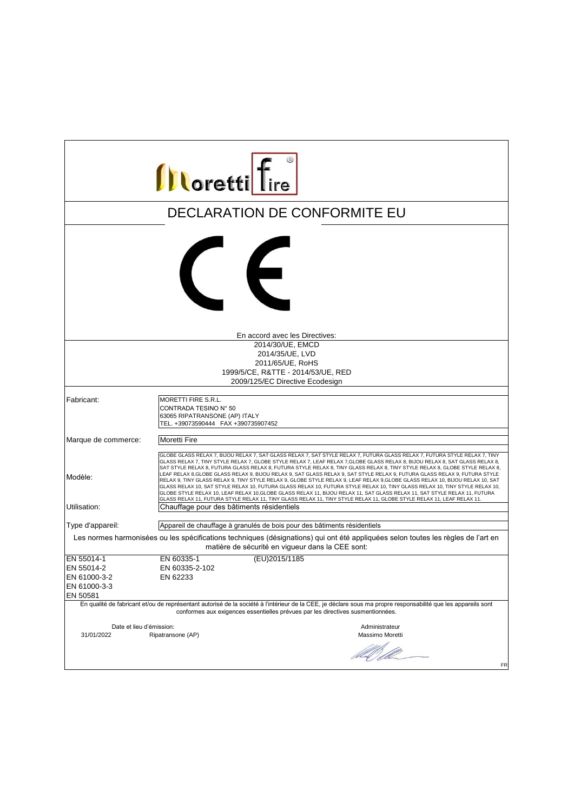| <b>Illoretti</b> Tire                                                                                                                                                                 |                                                                                                                                                                                                                                                                                                                                                                                                                                                                                                                                                                                                                                                                                                                                                                                                                                                                                                                                                                                                                                              |  |
|---------------------------------------------------------------------------------------------------------------------------------------------------------------------------------------|----------------------------------------------------------------------------------------------------------------------------------------------------------------------------------------------------------------------------------------------------------------------------------------------------------------------------------------------------------------------------------------------------------------------------------------------------------------------------------------------------------------------------------------------------------------------------------------------------------------------------------------------------------------------------------------------------------------------------------------------------------------------------------------------------------------------------------------------------------------------------------------------------------------------------------------------------------------------------------------------------------------------------------------------|--|
|                                                                                                                                                                                       | <b>DECLARATION DE CONFORMITE EU</b>                                                                                                                                                                                                                                                                                                                                                                                                                                                                                                                                                                                                                                                                                                                                                                                                                                                                                                                                                                                                          |  |
|                                                                                                                                                                                       | $\epsilon$                                                                                                                                                                                                                                                                                                                                                                                                                                                                                                                                                                                                                                                                                                                                                                                                                                                                                                                                                                                                                                   |  |
|                                                                                                                                                                                       | En accord avec les Directives:                                                                                                                                                                                                                                                                                                                                                                                                                                                                                                                                                                                                                                                                                                                                                                                                                                                                                                                                                                                                               |  |
|                                                                                                                                                                                       | 2014/30/UE. EMCD                                                                                                                                                                                                                                                                                                                                                                                                                                                                                                                                                                                                                                                                                                                                                                                                                                                                                                                                                                                                                             |  |
|                                                                                                                                                                                       | 2014/35/UE, LVD                                                                                                                                                                                                                                                                                                                                                                                                                                                                                                                                                                                                                                                                                                                                                                                                                                                                                                                                                                                                                              |  |
|                                                                                                                                                                                       | 2011/65/UE, RoHS                                                                                                                                                                                                                                                                                                                                                                                                                                                                                                                                                                                                                                                                                                                                                                                                                                                                                                                                                                                                                             |  |
|                                                                                                                                                                                       | 1999/5/CE, R&TTE - 2014/53/UE, RED                                                                                                                                                                                                                                                                                                                                                                                                                                                                                                                                                                                                                                                                                                                                                                                                                                                                                                                                                                                                           |  |
|                                                                                                                                                                                       | 2009/125/EC Directive Ecodesign                                                                                                                                                                                                                                                                                                                                                                                                                                                                                                                                                                                                                                                                                                                                                                                                                                                                                                                                                                                                              |  |
| Fabricant:                                                                                                                                                                            | MORETTI FIRE S.R.L.<br>CONTRADA TESINO N° 50<br>63065 RIPATRANSONE (AP) ITALY<br>TEL. +39073590444 FAX +390735907452                                                                                                                                                                                                                                                                                                                                                                                                                                                                                                                                                                                                                                                                                                                                                                                                                                                                                                                         |  |
| Marque de commerce:                                                                                                                                                                   | Moretti Fire                                                                                                                                                                                                                                                                                                                                                                                                                                                                                                                                                                                                                                                                                                                                                                                                                                                                                                                                                                                                                                 |  |
| Modèle:                                                                                                                                                                               | GLOBE GLASS RELAX 7, BIJOU RELAX 7, SAT GLASS RELAX 7, SAT STYLE RELAX 7, FUTURA GLASS RELAX 7, FUTURA STYLE RELAX 7, TINY<br>GLASS RELAX 7, TINY STYLE RELAX 7, GLOBE STYLE RELAX 7, LEAF RELAX 7, GLOBE GLASS RELAX 8, BIJOU RELAX 8, SAT GLASS RELAX 8,<br>SAT STYLE RELAX 8, FUTURA GLASS RELAX 8, FUTURA STYLE RELAX 8, TINY GLASS RELAX 8, TINY STYLE RELAX 8, GLOBE STYLE RELAX 8,<br>LEAF RELAX 8,GLOBE GLASS RELAX 9, BIJOU RELAX 9, SAT GLASS RELAX 9, SAT STYLE RELAX 9, FUTURA GLASS RELAX 9, FUTURA STYLE<br>RELAX 9, TINY GLASS RELAX 9, TINY STYLE RELAX 9, GLOBE STYLE RELAX 9, LEAF RELAX 9, GLOBE GLASS RELAX 10, BIJOU RELAX 10, SAT<br>GLASS RELAX 10, SAT STYLE RELAX 10, FUTURA GLASS RELAX 10, FUTURA STYLE RELAX 10, TINY GLASS RELAX 10, TINY STYLE RELAX 10,<br>GLOBE STYLE RELAX 10, LEAF RELAX 10, GLOBE GLASS RELAX 11, BIJOU RELAX 11, SAT GLASS RELAX 11, SAT STYLE RELAX 11, FUTURA<br>GLASS RELAX 11, FUTURA STYLE RELAX 11, TINY GLASS RELAX 11, TINY STYLE RELAX 11, GLOBE STYLE RELAX 11, LEAF RELAX 11. |  |
| Utilisation:                                                                                                                                                                          | Chauffage pour des bâtiments résidentiels                                                                                                                                                                                                                                                                                                                                                                                                                                                                                                                                                                                                                                                                                                                                                                                                                                                                                                                                                                                                    |  |
| Type d'appareil:                                                                                                                                                                      | Appareil de chauffage à granulés de bois pour des bâtiments résidentiels                                                                                                                                                                                                                                                                                                                                                                                                                                                                                                                                                                                                                                                                                                                                                                                                                                                                                                                                                                     |  |
| Les normes harmonisées ou les spécifications techniques (désignations) qui ont été appliquées selon toutes les règles de l'art en<br>matière de sécurité en vigueur dans la CEE sont: |                                                                                                                                                                                                                                                                                                                                                                                                                                                                                                                                                                                                                                                                                                                                                                                                                                                                                                                                                                                                                                              |  |
| EN 55014-1                                                                                                                                                                            | EN 60335-1<br>(EU)2015/1185                                                                                                                                                                                                                                                                                                                                                                                                                                                                                                                                                                                                                                                                                                                                                                                                                                                                                                                                                                                                                  |  |
| EN 55014-2                                                                                                                                                                            | EN 60335-2-102                                                                                                                                                                                                                                                                                                                                                                                                                                                                                                                                                                                                                                                                                                                                                                                                                                                                                                                                                                                                                               |  |
| EN 61000-3-2                                                                                                                                                                          | EN 62233                                                                                                                                                                                                                                                                                                                                                                                                                                                                                                                                                                                                                                                                                                                                                                                                                                                                                                                                                                                                                                     |  |
| EN 61000-3-3                                                                                                                                                                          |                                                                                                                                                                                                                                                                                                                                                                                                                                                                                                                                                                                                                                                                                                                                                                                                                                                                                                                                                                                                                                              |  |
| EN 50581                                                                                                                                                                              | En qualité de fabricant et/ou de représentant autorisé de la société à l'intérieur de la CEE, je déclare sous ma propre responsabilité que les appareils sont                                                                                                                                                                                                                                                                                                                                                                                                                                                                                                                                                                                                                                                                                                                                                                                                                                                                                |  |
| conformes aux exigences essentielles prévues par les directives susmentionnées.                                                                                                       |                                                                                                                                                                                                                                                                                                                                                                                                                                                                                                                                                                                                                                                                                                                                                                                                                                                                                                                                                                                                                                              |  |
| Date et lieu d'émission:                                                                                                                                                              | Administrateur                                                                                                                                                                                                                                                                                                                                                                                                                                                                                                                                                                                                                                                                                                                                                                                                                                                                                                                                                                                                                               |  |
| 31/01/2022                                                                                                                                                                            | Ripatransone (AP)<br>Massimo Moretti<br>DA TIO                                                                                                                                                                                                                                                                                                                                                                                                                                                                                                                                                                                                                                                                                                                                                                                                                                                                                                                                                                                               |  |
|                                                                                                                                                                                       | FR                                                                                                                                                                                                                                                                                                                                                                                                                                                                                                                                                                                                                                                                                                                                                                                                                                                                                                                                                                                                                                           |  |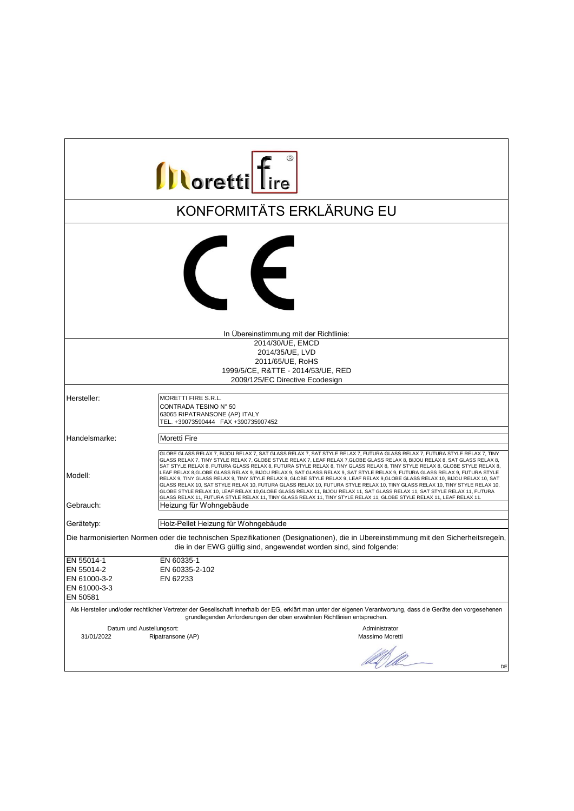| <b>Illoretti</b> fire                                                                                                                                                                                   |                                                                                                                                                                                                                                                                                                                                                                                                                                                                                                                                                                                                                                                                                                                                                                                                                                                                                                                                                                                                                                            |  |
|---------------------------------------------------------------------------------------------------------------------------------------------------------------------------------------------------------|--------------------------------------------------------------------------------------------------------------------------------------------------------------------------------------------------------------------------------------------------------------------------------------------------------------------------------------------------------------------------------------------------------------------------------------------------------------------------------------------------------------------------------------------------------------------------------------------------------------------------------------------------------------------------------------------------------------------------------------------------------------------------------------------------------------------------------------------------------------------------------------------------------------------------------------------------------------------------------------------------------------------------------------------|--|
|                                                                                                                                                                                                         | KONFORMITÄTS ERKLÄRUNG EU                                                                                                                                                                                                                                                                                                                                                                                                                                                                                                                                                                                                                                                                                                                                                                                                                                                                                                                                                                                                                  |  |
|                                                                                                                                                                                                         | $\epsilon$                                                                                                                                                                                                                                                                                                                                                                                                                                                                                                                                                                                                                                                                                                                                                                                                                                                                                                                                                                                                                                 |  |
|                                                                                                                                                                                                         | In Übereinstimmung mit der Richtlinie:                                                                                                                                                                                                                                                                                                                                                                                                                                                                                                                                                                                                                                                                                                                                                                                                                                                                                                                                                                                                     |  |
|                                                                                                                                                                                                         | 2014/30/UE. EMCD                                                                                                                                                                                                                                                                                                                                                                                                                                                                                                                                                                                                                                                                                                                                                                                                                                                                                                                                                                                                                           |  |
|                                                                                                                                                                                                         | 2014/35/UE, LVD                                                                                                                                                                                                                                                                                                                                                                                                                                                                                                                                                                                                                                                                                                                                                                                                                                                                                                                                                                                                                            |  |
|                                                                                                                                                                                                         | 2011/65/UE, RoHS                                                                                                                                                                                                                                                                                                                                                                                                                                                                                                                                                                                                                                                                                                                                                                                                                                                                                                                                                                                                                           |  |
|                                                                                                                                                                                                         | 1999/5/CE, R&TTE - 2014/53/UE, RED                                                                                                                                                                                                                                                                                                                                                                                                                                                                                                                                                                                                                                                                                                                                                                                                                                                                                                                                                                                                         |  |
|                                                                                                                                                                                                         | 2009/125/EC Directive Ecodesign                                                                                                                                                                                                                                                                                                                                                                                                                                                                                                                                                                                                                                                                                                                                                                                                                                                                                                                                                                                                            |  |
| Hersteller:                                                                                                                                                                                             | MORETTI FIRE S.R.L.                                                                                                                                                                                                                                                                                                                                                                                                                                                                                                                                                                                                                                                                                                                                                                                                                                                                                                                                                                                                                        |  |
|                                                                                                                                                                                                         | CONTRADA TESINO N° 50<br>63065 RIPATRANSONE (AP) ITALY<br>TEL. +39073590444 FAX +390735907452                                                                                                                                                                                                                                                                                                                                                                                                                                                                                                                                                                                                                                                                                                                                                                                                                                                                                                                                              |  |
| Handelsmarke:                                                                                                                                                                                           | <b>Moretti Fire</b>                                                                                                                                                                                                                                                                                                                                                                                                                                                                                                                                                                                                                                                                                                                                                                                                                                                                                                                                                                                                                        |  |
| Modell:                                                                                                                                                                                                 | GLOBE GLASS RELAX 7, BIJOU RELAX 7, SAT GLASS RELAX 7, SAT STYLE RELAX 7, FUTURA GLASS RELAX 7, FUTURA STYLE RELAX 7, TINY<br>GLASS RELAX 7, TINY STYLE RELAX 7, GLOBE STYLE RELAX 7, LEAF RELAX 7,GLOBE GLASS RELAX 8, BIJOU RELAX 8, SAT GLASS RELAX 8,<br>SAT STYLE RELAX 8, FUTURA GLASS RELAX 8, FUTURA STYLE RELAX 8, TINY GLASS RELAX 8, TINY STYLE RELAX 8, GLOBE STYLE RELAX 8,<br>LEAF RELAX 8,GLOBE GLASS RELAX 9, BIJOU RELAX 9, SAT GLASS RELAX 9, SAT STYLE RELAX 9, FUTURA GLASS RELAX 9, FUTURA STYLE<br>RELAX 9, TINY GLASS RELAX 9, TINY STYLE RELAX 9, GLOBE STYLE RELAX 9, LEAF RELAX 9,GLOBE GLASS RELAX 10, BIJOU RELAX 10, SAT<br>GLASS RELAX 10, SAT STYLE RELAX 10, FUTURA GLASS RELAX 10, FUTURA STYLE RELAX 10, TINY GLASS RELAX 10, TINY STYLE RELAX 10,<br>GLOBE STYLE RELAX 10, LEAF RELAX 10, GLOBE GLASS RELAX 11, BIJOU RELAX 11, SAT GLASS RELAX 11, SAT STYLE RELAX 11, FUTURA<br>GLASS RELAX 11, FUTURA STYLE RELAX 11, TINY GLASS RELAX 11, TINY STYLE RELAX 11, GLOBE STYLE RELAX 11, LEAF RELAX 11. |  |
| Gebrauch:                                                                                                                                                                                               | Heizung für Wohngebäude                                                                                                                                                                                                                                                                                                                                                                                                                                                                                                                                                                                                                                                                                                                                                                                                                                                                                                                                                                                                                    |  |
| Gerätetyp:                                                                                                                                                                                              | Holz-Pellet Heizung für Wohngebäude                                                                                                                                                                                                                                                                                                                                                                                                                                                                                                                                                                                                                                                                                                                                                                                                                                                                                                                                                                                                        |  |
| Die harmonisierten Normen oder die technischen Spezifikationen (Designationen), die in Ubereinstimmung mit den Sicherheitsregeln,<br>die in der EWG gültig sind, angewendet worden sind, sind folgende: |                                                                                                                                                                                                                                                                                                                                                                                                                                                                                                                                                                                                                                                                                                                                                                                                                                                                                                                                                                                                                                            |  |
| EN 55014-1                                                                                                                                                                                              | EN 60335-1                                                                                                                                                                                                                                                                                                                                                                                                                                                                                                                                                                                                                                                                                                                                                                                                                                                                                                                                                                                                                                 |  |
| EN 55014-2                                                                                                                                                                                              | EN 60335-2-102                                                                                                                                                                                                                                                                                                                                                                                                                                                                                                                                                                                                                                                                                                                                                                                                                                                                                                                                                                                                                             |  |
| EN 61000-3-2                                                                                                                                                                                            | EN 62233                                                                                                                                                                                                                                                                                                                                                                                                                                                                                                                                                                                                                                                                                                                                                                                                                                                                                                                                                                                                                                   |  |
| EN 61000-3-3                                                                                                                                                                                            |                                                                                                                                                                                                                                                                                                                                                                                                                                                                                                                                                                                                                                                                                                                                                                                                                                                                                                                                                                                                                                            |  |
| EN 50581                                                                                                                                                                                                | Als Hersteller und/oder rechtlicher Vertreter der Gesellschaft innerhalb der EG, erklärt man unter der eigenen Verantwortung, dass die Geräte den vorgesehenen<br>grundlegenden Anforderungen der oben erwähnten Richtlinien entsprechen.                                                                                                                                                                                                                                                                                                                                                                                                                                                                                                                                                                                                                                                                                                                                                                                                  |  |
|                                                                                                                                                                                                         |                                                                                                                                                                                                                                                                                                                                                                                                                                                                                                                                                                                                                                                                                                                                                                                                                                                                                                                                                                                                                                            |  |
| Datum und Austellungsort:<br>31/01/2022                                                                                                                                                                 | Administrator<br>Ripatransone (AP)<br>Massimo Moretti                                                                                                                                                                                                                                                                                                                                                                                                                                                                                                                                                                                                                                                                                                                                                                                                                                                                                                                                                                                      |  |
|                                                                                                                                                                                                         | DE                                                                                                                                                                                                                                                                                                                                                                                                                                                                                                                                                                                                                                                                                                                                                                                                                                                                                                                                                                                                                                         |  |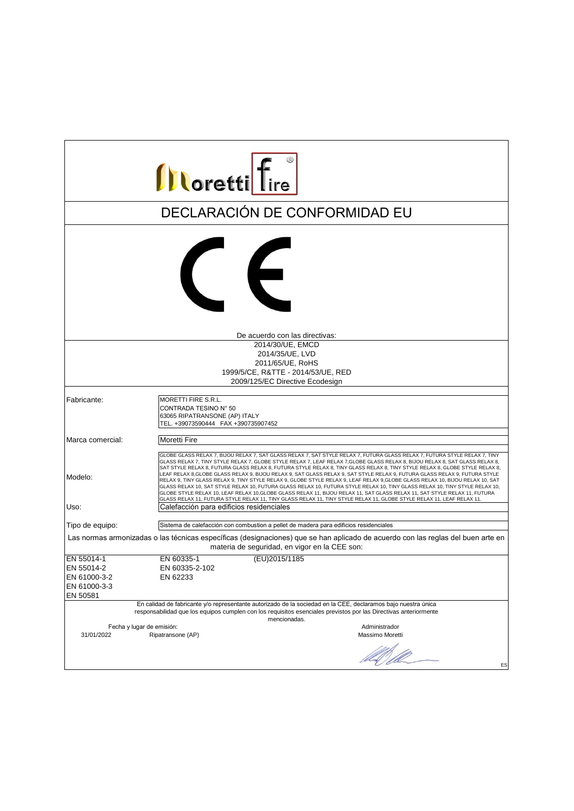| <b>Illoretti</b> Tire                                                                                                                                                                                                                                                                         |                                                                                                                                                                                                                                                                                                                                                                                                                                                                                                                                                                                                                                                                                                                                                                                                                                                                                                                                                                                                                                                                                          |  |
|-----------------------------------------------------------------------------------------------------------------------------------------------------------------------------------------------------------------------------------------------------------------------------------------------|------------------------------------------------------------------------------------------------------------------------------------------------------------------------------------------------------------------------------------------------------------------------------------------------------------------------------------------------------------------------------------------------------------------------------------------------------------------------------------------------------------------------------------------------------------------------------------------------------------------------------------------------------------------------------------------------------------------------------------------------------------------------------------------------------------------------------------------------------------------------------------------------------------------------------------------------------------------------------------------------------------------------------------------------------------------------------------------|--|
|                                                                                                                                                                                                                                                                                               | DECLARACIÓN DE CONFORMIDAD EU                                                                                                                                                                                                                                                                                                                                                                                                                                                                                                                                                                                                                                                                                                                                                                                                                                                                                                                                                                                                                                                            |  |
|                                                                                                                                                                                                                                                                                               | $\left($                                                                                                                                                                                                                                                                                                                                                                                                                                                                                                                                                                                                                                                                                                                                                                                                                                                                                                                                                                                                                                                                                 |  |
|                                                                                                                                                                                                                                                                                               | De acuerdo con las directivas:                                                                                                                                                                                                                                                                                                                                                                                                                                                                                                                                                                                                                                                                                                                                                                                                                                                                                                                                                                                                                                                           |  |
|                                                                                                                                                                                                                                                                                               | 2014/30/UE, EMCD<br>2014/35/UE, LVD<br>2011/65/UE, RoHS<br>1999/5/CE, R&TTE - 2014/53/UE, RED<br>2009/125/EC Directive Ecodesign                                                                                                                                                                                                                                                                                                                                                                                                                                                                                                                                                                                                                                                                                                                                                                                                                                                                                                                                                         |  |
|                                                                                                                                                                                                                                                                                               |                                                                                                                                                                                                                                                                                                                                                                                                                                                                                                                                                                                                                                                                                                                                                                                                                                                                                                                                                                                                                                                                                          |  |
| Fabricante:                                                                                                                                                                                                                                                                                   | MORETTI FIRE S.R.L.<br>CONTRADA TESINO N° 50<br>63065 RIPATRANSONE (AP) ITALY<br>TEL. +39073590444 FAX +390735907452                                                                                                                                                                                                                                                                                                                                                                                                                                                                                                                                                                                                                                                                                                                                                                                                                                                                                                                                                                     |  |
| Marca comercial:                                                                                                                                                                                                                                                                              | Moretti Fire                                                                                                                                                                                                                                                                                                                                                                                                                                                                                                                                                                                                                                                                                                                                                                                                                                                                                                                                                                                                                                                                             |  |
| Modelo:<br>Uso:                                                                                                                                                                                                                                                                               | GLOBE GLASS RELAX 7, BIJOU RELAX 7, SAT GLASS RELAX 7, SAT STYLE RELAX 7, FUTURA GLASS RELAX 7, FUTURA STYLE RELAX 7, TINY<br>GLASS RELAX 7, TINY STYLE RELAX 7, GLOBE STYLE RELAX 7, LEAF RELAX 7, GLOBE GLASS RELAX 8, BIJOU RELAX 8, SAT GLASS RELAX 8,<br>SAT STYLE RELAX 8, FUTURA GLASS RELAX 8, FUTURA STYLE RELAX 8, TINY GLASS RELAX 8, TINY STYLE RELAX 8, GLOBE STYLE RELAX 8,<br>LEAF RELAX 8,GLOBE GLASS RELAX 9, BIJOU RELAX 9, SAT GLASS RELAX 9, SAT STYLE RELAX 9, FUTURA GLASS RELAX 9, FUTURA STYLE<br>RELAX 9, TINY GLASS RELAX 9, TINY STYLE RELAX 9, GLOBE STYLE RELAX 9, LEAF RELAX 9, GLOBE GLASS RELAX 10, BIJOU RELAX 10, SAT<br>GLASS RELAX 10, SAT STYLE RELAX 10, FUTURA GLASS RELAX 10, FUTURA STYLE RELAX 10, TINY GLASS RELAX 10, TINY STYLE RELAX 10,<br>GLOBE STYLE RELAX 10, LEAF RELAX 10, GLOBE GLASS RELAX 11, BIJOU RELAX 11, SAT GLASS RELAX 11, SAT STYLE RELAX 11, FUTURA<br>GLASS RELAX 11, FUTURA STYLE RELAX 11, TINY GLASS RELAX 11, TINY STYLE RELAX 11, GLOBE STYLE RELAX 11, LEAF RELAX 11.<br>Calefacción para edificios residenciales |  |
|                                                                                                                                                                                                                                                                                               |                                                                                                                                                                                                                                                                                                                                                                                                                                                                                                                                                                                                                                                                                                                                                                                                                                                                                                                                                                                                                                                                                          |  |
| Sistema de calefacción con combustion a pellet de madera para edificios residenciales<br>Tipo de equipo:<br>Las normas armonizadas o las técnicas específicas (designaciones) que se han aplicado de acuerdo con las reglas del buen arte en<br>materia de seguridad, en vigor en la CEE son: |                                                                                                                                                                                                                                                                                                                                                                                                                                                                                                                                                                                                                                                                                                                                                                                                                                                                                                                                                                                                                                                                                          |  |
| EN 55014-1<br>EN 55014-2<br>EN 61000-3-2<br>EN 61000-3-3<br>EN 50581                                                                                                                                                                                                                          | (EU)2015/1185<br>EN 60335-1<br>EN 60335-2-102<br>EN 62233                                                                                                                                                                                                                                                                                                                                                                                                                                                                                                                                                                                                                                                                                                                                                                                                                                                                                                                                                                                                                                |  |
|                                                                                                                                                                                                                                                                                               | En calidad de fabricante y/o representante autorizado de la sociedad en la CEE, declaramos bajo nuestra única<br>responsabilidad que los equipos cumplen con los requisitos esenciales previstos por las Directivas anteriormente<br>mencionadas.                                                                                                                                                                                                                                                                                                                                                                                                                                                                                                                                                                                                                                                                                                                                                                                                                                        |  |
| Fecha y lugar de emisión:<br>31/01/2022                                                                                                                                                                                                                                                       | Administrador<br>Ripatransone (AP)<br>Massimo Moretti                                                                                                                                                                                                                                                                                                                                                                                                                                                                                                                                                                                                                                                                                                                                                                                                                                                                                                                                                                                                                                    |  |
|                                                                                                                                                                                                                                                                                               | ES                                                                                                                                                                                                                                                                                                                                                                                                                                                                                                                                                                                                                                                                                                                                                                                                                                                                                                                                                                                                                                                                                       |  |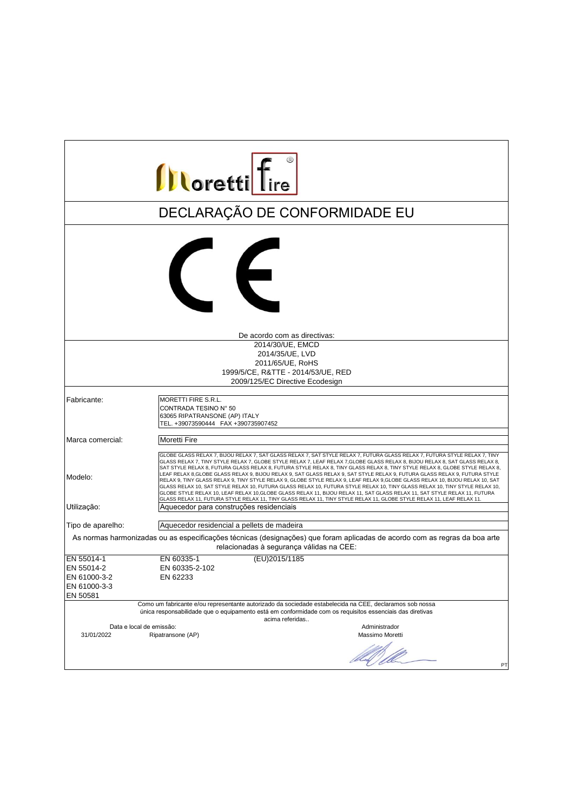| <b>Illoretti</b> Tire                                                                                                                                                  |                                                                                                                                                                                                                                                                                                                                                                                                                                                                                                                                                                                                                                                                                                                                                                                                                                                                                                                                                                                                                                                                                         |  |
|------------------------------------------------------------------------------------------------------------------------------------------------------------------------|-----------------------------------------------------------------------------------------------------------------------------------------------------------------------------------------------------------------------------------------------------------------------------------------------------------------------------------------------------------------------------------------------------------------------------------------------------------------------------------------------------------------------------------------------------------------------------------------------------------------------------------------------------------------------------------------------------------------------------------------------------------------------------------------------------------------------------------------------------------------------------------------------------------------------------------------------------------------------------------------------------------------------------------------------------------------------------------------|--|
|                                                                                                                                                                        | DECLARAÇÃO DE CONFORMIDADE EU                                                                                                                                                                                                                                                                                                                                                                                                                                                                                                                                                                                                                                                                                                                                                                                                                                                                                                                                                                                                                                                           |  |
|                                                                                                                                                                        | $\epsilon$                                                                                                                                                                                                                                                                                                                                                                                                                                                                                                                                                                                                                                                                                                                                                                                                                                                                                                                                                                                                                                                                              |  |
|                                                                                                                                                                        | De acordo com as directivas:                                                                                                                                                                                                                                                                                                                                                                                                                                                                                                                                                                                                                                                                                                                                                                                                                                                                                                                                                                                                                                                            |  |
|                                                                                                                                                                        | 2014/30/UE. EMCD<br>2014/35/UE, LVD<br>2011/65/UE, RoHS<br>1999/5/CE, R&TTE - 2014/53/UE, RED<br>2009/125/EC Directive Ecodesign                                                                                                                                                                                                                                                                                                                                                                                                                                                                                                                                                                                                                                                                                                                                                                                                                                                                                                                                                        |  |
| Fabricante:                                                                                                                                                            | MORETTI FIRE S.R.L.<br>CONTRADA TESINO N° 50<br>63065 RIPATRANSONE (AP) ITALY<br>TEL. +39073590444 FAX +390735907452                                                                                                                                                                                                                                                                                                                                                                                                                                                                                                                                                                                                                                                                                                                                                                                                                                                                                                                                                                    |  |
| Marca comercial:                                                                                                                                                       | Moretti Fire                                                                                                                                                                                                                                                                                                                                                                                                                                                                                                                                                                                                                                                                                                                                                                                                                                                                                                                                                                                                                                                                            |  |
| Modelo:<br>Utilização:                                                                                                                                                 | GLOBE GLASS RELAX 7, BIJOU RELAX 7, SAT GLASS RELAX 7, SAT STYLE RELAX 7, FUTURA GLASS RELAX 7, FUTURA STYLE RELAX 7, TINY<br>GLASS RELAX 7, TINY STYLE RELAX 7, GLOBE STYLE RELAX 7, LEAF RELAX 7, GLOBE GLASS RELAX 8, BIJOU RELAX 8, SAT GLASS RELAX 8,<br>SAT STYLE RELAX 8, FUTURA GLASS RELAX 8, FUTURA STYLE RELAX 8, TINY GLASS RELAX 8, TINY STYLE RELAX 8, GLOBE STYLE RELAX 8,<br>LEAF RELAX 8,GLOBE GLASS RELAX 9, BIJOU RELAX 9, SAT GLASS RELAX 9, SAT STYLE RELAX 9, FUTURA GLASS RELAX 9, FUTURA STYLE<br>RELAX 9, TINY GLASS RELAX 9, TINY STYLE RELAX 9, GLOBE STYLE RELAX 9, LEAF RELAX 9, GLOBE GLASS RELAX 10, BIJOU RELAX 10, SAT<br>GLASS RELAX 10, SAT STYLE RELAX 10, FUTURA GLASS RELAX 10, FUTURA STYLE RELAX 10, TINY GLASS RELAX 10, TINY STYLE RELAX 10,<br>GLOBE STYLE RELAX 10, LEAF RELAX 10, GLOBE GLASS RELAX 11, BIJOU RELAX 11, SAT GLASS RELAX 11, SAT STYLE RELAX 11, FUTURA<br>GLASS RELAX 11, FUTURA STYLE RELAX 11, TINY GLASS RELAX 11, TINY STYLE RELAX 11, GLOBE STYLE RELAX 11, LEAF RELAX 11.<br>Aquecedor para construções residenciais |  |
|                                                                                                                                                                        |                                                                                                                                                                                                                                                                                                                                                                                                                                                                                                                                                                                                                                                                                                                                                                                                                                                                                                                                                                                                                                                                                         |  |
| Tipo de aparelho:                                                                                                                                                      | Aquecedor residencial a pellets de madeira                                                                                                                                                                                                                                                                                                                                                                                                                                                                                                                                                                                                                                                                                                                                                                                                                                                                                                                                                                                                                                              |  |
| As normas harmonizadas ou as especificações técnicas (designações) que foram aplicadas de acordo com as regras da boa arte<br>relacionadas à segurança válidas na CEE: |                                                                                                                                                                                                                                                                                                                                                                                                                                                                                                                                                                                                                                                                                                                                                                                                                                                                                                                                                                                                                                                                                         |  |
| EN 55014-1                                                                                                                                                             | (EU)2015/1185<br>EN 60335-1                                                                                                                                                                                                                                                                                                                                                                                                                                                                                                                                                                                                                                                                                                                                                                                                                                                                                                                                                                                                                                                             |  |
| EN 55014-2                                                                                                                                                             | EN 60335-2-102                                                                                                                                                                                                                                                                                                                                                                                                                                                                                                                                                                                                                                                                                                                                                                                                                                                                                                                                                                                                                                                                          |  |
| EN 61000-3-2                                                                                                                                                           | EN 62233                                                                                                                                                                                                                                                                                                                                                                                                                                                                                                                                                                                                                                                                                                                                                                                                                                                                                                                                                                                                                                                                                |  |
| EN 61000-3-3                                                                                                                                                           |                                                                                                                                                                                                                                                                                                                                                                                                                                                                                                                                                                                                                                                                                                                                                                                                                                                                                                                                                                                                                                                                                         |  |
| EN 50581                                                                                                                                                               |                                                                                                                                                                                                                                                                                                                                                                                                                                                                                                                                                                                                                                                                                                                                                                                                                                                                                                                                                                                                                                                                                         |  |
|                                                                                                                                                                        | Como um fabricante e/ou representante autorizado da sociedade estabelecida na CEE, declaramos sob nossa<br>única responsabilidade que o equipamento está em conformidade com os requisitos essenciais das diretivas<br>acima referidas                                                                                                                                                                                                                                                                                                                                                                                                                                                                                                                                                                                                                                                                                                                                                                                                                                                  |  |
| Data e local de emissão:                                                                                                                                               | Administrador                                                                                                                                                                                                                                                                                                                                                                                                                                                                                                                                                                                                                                                                                                                                                                                                                                                                                                                                                                                                                                                                           |  |
| 31/01/2022                                                                                                                                                             | Ripatransone (AP)<br>Massimo Moretti<br>US II<br>PT                                                                                                                                                                                                                                                                                                                                                                                                                                                                                                                                                                                                                                                                                                                                                                                                                                                                                                                                                                                                                                     |  |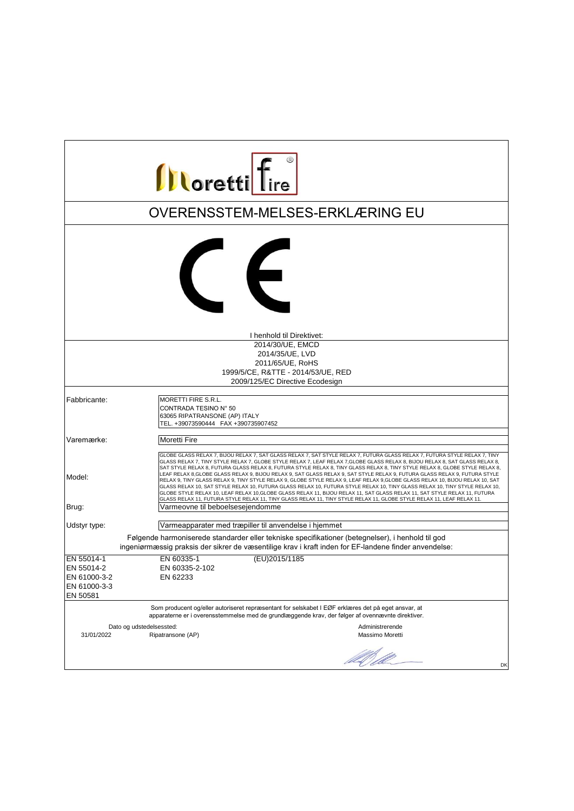| <b>Illoretti</b> Tire      |                                                                                                                                                                                                                                                                                                                                                                                                                                                                                                                                                                                                                                                                                                                                                                                                                                                                                                                                                                                                                                             |  |
|----------------------------|---------------------------------------------------------------------------------------------------------------------------------------------------------------------------------------------------------------------------------------------------------------------------------------------------------------------------------------------------------------------------------------------------------------------------------------------------------------------------------------------------------------------------------------------------------------------------------------------------------------------------------------------------------------------------------------------------------------------------------------------------------------------------------------------------------------------------------------------------------------------------------------------------------------------------------------------------------------------------------------------------------------------------------------------|--|
|                            | OVERENSSTEM-MELSES-ERKLÆRING EU                                                                                                                                                                                                                                                                                                                                                                                                                                                                                                                                                                                                                                                                                                                                                                                                                                                                                                                                                                                                             |  |
|                            | $\epsilon$                                                                                                                                                                                                                                                                                                                                                                                                                                                                                                                                                                                                                                                                                                                                                                                                                                                                                                                                                                                                                                  |  |
|                            | I henhold til Direktivet:                                                                                                                                                                                                                                                                                                                                                                                                                                                                                                                                                                                                                                                                                                                                                                                                                                                                                                                                                                                                                   |  |
|                            | 2014/30/UE, EMCD<br>2014/35/UE, LVD<br>2011/65/UE, RoHS<br>1999/5/CE, R&TTE - 2014/53/UE, RED<br>2009/125/EC Directive Ecodesign                                                                                                                                                                                                                                                                                                                                                                                                                                                                                                                                                                                                                                                                                                                                                                                                                                                                                                            |  |
| Fabbricante:               | MORETTI FIRE S.R.L.                                                                                                                                                                                                                                                                                                                                                                                                                                                                                                                                                                                                                                                                                                                                                                                                                                                                                                                                                                                                                         |  |
|                            | CONTRADA TESINO N° 50<br>63065 RIPATRANSONE (AP) ITALY<br>TEL. +39073590444 FAX +390735907452                                                                                                                                                                                                                                                                                                                                                                                                                                                                                                                                                                                                                                                                                                                                                                                                                                                                                                                                               |  |
| Varemærke:                 | <b>Moretti Fire</b>                                                                                                                                                                                                                                                                                                                                                                                                                                                                                                                                                                                                                                                                                                                                                                                                                                                                                                                                                                                                                         |  |
| Model:                     | GLOBE GLASS RELAX 7, BIJOU RELAX 7, SAT GLASS RELAX 7, SAT STYLE RELAX 7, FUTURA GLASS RELAX 7, FUTURA STYLE RELAX 7, TINY<br>GLASS RELAX 7, TINY STYLE RELAX 7, GLOBE STYLE RELAX 7, LEAF RELAX 7,GLOBE GLASS RELAX 8, BIJOU RELAX 8, SAT GLASS RELAX 8,<br>SAT STYLE RELAX 8, FUTURA GLASS RELAX 8, FUTURA STYLE RELAX 8, TINY GLASS RELAX 8, TINY STYLE RELAX 8, GLOBE STYLE RELAX 8,<br>LEAF RELAX 8, GLOBE GLASS RELAX 9, BIJOU RELAX 9, SAT GLASS RELAX 9, SAT STYLE RELAX 9, FUTURA GLASS RELAX 9, FUTURA STYLE<br>RELAX 9, TINY GLASS RELAX 9, TINY STYLE RELAX 9, GLOBE STYLE RELAX 9, LEAF RELAX 9,GLOBE GLASS RELAX 10, BIJOU RELAX 10, SAT<br>GLASS RELAX 10, SAT STYLE RELAX 10, FUTURA GLASS RELAX 10, FUTURA STYLE RELAX 10, TINY GLASS RELAX 10, TINY STYLE RELAX 10,<br>GLOBE STYLE RELAX 10, LEAF RELAX 10, GLOBE GLASS RELAX 11, BIJOU RELAX 11, SAT GLASS RELAX 11, SAT STYLE RELAX 11, FUTURA<br>GLASS RELAX 11, FUTURA STYLE RELAX 11, TINY GLASS RELAX 11, TINY STYLE RELAX 11, GLOBE STYLE RELAX 11, LEAF RELAX 11. |  |
| Brug:                      | Varmeovne til beboelsesejendomme                                                                                                                                                                                                                                                                                                                                                                                                                                                                                                                                                                                                                                                                                                                                                                                                                                                                                                                                                                                                            |  |
| Udstyr type:               | Varmeapparater med træpiller til anvendelse i hjemmet                                                                                                                                                                                                                                                                                                                                                                                                                                                                                                                                                                                                                                                                                                                                                                                                                                                                                                                                                                                       |  |
|                            | Følgende harmoniserede standarder eller tekniske specifikationer (betegnelser), i henhold til god<br>ingeniørmæssig praksis der sikrer de væsentilige krav i kraft inden for EF-landene finder anvendelse:                                                                                                                                                                                                                                                                                                                                                                                                                                                                                                                                                                                                                                                                                                                                                                                                                                  |  |
| EN 55014-1                 | (EU)2015/1185<br>EN 60335-1                                                                                                                                                                                                                                                                                                                                                                                                                                                                                                                                                                                                                                                                                                                                                                                                                                                                                                                                                                                                                 |  |
| EN 55014-2<br>EN 61000-3-2 | EN 60335-2-102                                                                                                                                                                                                                                                                                                                                                                                                                                                                                                                                                                                                                                                                                                                                                                                                                                                                                                                                                                                                                              |  |
| EN 61000-3-3               | EN 62233                                                                                                                                                                                                                                                                                                                                                                                                                                                                                                                                                                                                                                                                                                                                                                                                                                                                                                                                                                                                                                    |  |
| EN 50581                   |                                                                                                                                                                                                                                                                                                                                                                                                                                                                                                                                                                                                                                                                                                                                                                                                                                                                                                                                                                                                                                             |  |
|                            | Som producent og/eller autoriseret repræsentant for selskabet I EØF erklæres det på eget ansvar, at<br>apparaterne er i overensstemmelse med de grundlæggende krav, der følger af ovennævnte direktiver.                                                                                                                                                                                                                                                                                                                                                                                                                                                                                                                                                                                                                                                                                                                                                                                                                                    |  |
| 31/01/2022                 | Dato og udstedelsessted:<br>Administrerende<br>Ripatransone (AP)<br>Massimo Moretti                                                                                                                                                                                                                                                                                                                                                                                                                                                                                                                                                                                                                                                                                                                                                                                                                                                                                                                                                         |  |
|                            | US Il<br>DK                                                                                                                                                                                                                                                                                                                                                                                                                                                                                                                                                                                                                                                                                                                                                                                                                                                                                                                                                                                                                                 |  |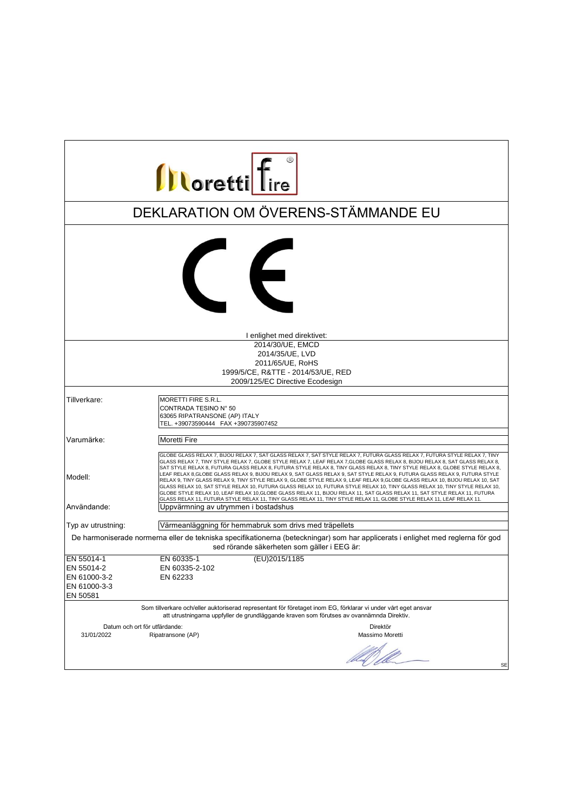| <b>Illoretti</b> Tire                                                                                                                                                                                       |                                                                                                                                                                                                                                                                                                                                                                                                                                                                                                                                                                                                                                                                                                                                                                                                                                                                                                                                                                                                                                             |  |
|-------------------------------------------------------------------------------------------------------------------------------------------------------------------------------------------------------------|---------------------------------------------------------------------------------------------------------------------------------------------------------------------------------------------------------------------------------------------------------------------------------------------------------------------------------------------------------------------------------------------------------------------------------------------------------------------------------------------------------------------------------------------------------------------------------------------------------------------------------------------------------------------------------------------------------------------------------------------------------------------------------------------------------------------------------------------------------------------------------------------------------------------------------------------------------------------------------------------------------------------------------------------|--|
|                                                                                                                                                                                                             | DEKLARATION OM ÖVERENS-STÄMMANDE EU                                                                                                                                                                                                                                                                                                                                                                                                                                                                                                                                                                                                                                                                                                                                                                                                                                                                                                                                                                                                         |  |
|                                                                                                                                                                                                             | $\left($                                                                                                                                                                                                                                                                                                                                                                                                                                                                                                                                                                                                                                                                                                                                                                                                                                                                                                                                                                                                                                    |  |
|                                                                                                                                                                                                             | I enlighet med direktivet:                                                                                                                                                                                                                                                                                                                                                                                                                                                                                                                                                                                                                                                                                                                                                                                                                                                                                                                                                                                                                  |  |
|                                                                                                                                                                                                             | 2014/30/UE, EMCD<br>2014/35/UE, LVD<br>2011/65/UE, RoHS<br>1999/5/CE, R&TTE - 2014/53/UE, RED<br>2009/125/EC Directive Ecodesign                                                                                                                                                                                                                                                                                                                                                                                                                                                                                                                                                                                                                                                                                                                                                                                                                                                                                                            |  |
|                                                                                                                                                                                                             |                                                                                                                                                                                                                                                                                                                                                                                                                                                                                                                                                                                                                                                                                                                                                                                                                                                                                                                                                                                                                                             |  |
| Tillverkare:                                                                                                                                                                                                | MORETTI FIRE S.R.L.<br>CONTRADA TESINO N° 50<br>63065 RIPATRANSONE (AP) ITALY<br>TEL. +39073590444 FAX +390735907452                                                                                                                                                                                                                                                                                                                                                                                                                                                                                                                                                                                                                                                                                                                                                                                                                                                                                                                        |  |
| Varumärke:                                                                                                                                                                                                  | <b>Moretti Fire</b>                                                                                                                                                                                                                                                                                                                                                                                                                                                                                                                                                                                                                                                                                                                                                                                                                                                                                                                                                                                                                         |  |
| Modell:                                                                                                                                                                                                     | GLOBE GLASS RELAX 7, BIJOU RELAX 7, SAT GLASS RELAX 7, SAT STYLE RELAX 7, FUTURA GLASS RELAX 7, FUTURA STYLE RELAX 7, TINY<br>GLASS RELAX 7, TINY STYLE RELAX 7, GLOBE STYLE RELAX 7, LEAF RELAX 7,GLOBE GLASS RELAX 8, BIJOU RELAX 8, SAT GLASS RELAX 8,<br>SAT STYLE RELAX 8, FUTURA GLASS RELAX 8, FUTURA STYLE RELAX 8, TINY GLASS RELAX 8, TINY STYLE RELAX 8, GLOBE STYLE RELAX 8,<br>LEAF RELAX 8, GLOBE GLASS RELAX 9, BIJOU RELAX 9, SAT GLASS RELAX 9, SAT STYLE RELAX 9, FUTURA GLASS RELAX 9, FUTURA STYLE<br>RELAX 9, TINY GLASS RELAX 9, TINY STYLE RELAX 9, GLOBE STYLE RELAX 9, LEAF RELAX 9,GLOBE GLASS RELAX 10, BIJOU RELAX 10, SAT<br>GLASS RELAX 10, SAT STYLE RELAX 10, FUTURA GLASS RELAX 10, FUTURA STYLE RELAX 10, TINY GLASS RELAX 10, TINY STYLE RELAX 10,<br>GLOBE STYLE RELAX 10, LEAF RELAX 10, GLOBE GLASS RELAX 11, BIJOU RELAX 11, SAT GLASS RELAX 11, SAT STYLE RELAX 11, FUTURA<br>GLASS RELAX 11, FUTURA STYLE RELAX 11, TINY GLASS RELAX 11, TINY STYLE RELAX 11, GLOBE STYLE RELAX 11, LEAF RELAX 11. |  |
| Användande:                                                                                                                                                                                                 | Uppvärmning av utrymmen i bostadshus                                                                                                                                                                                                                                                                                                                                                                                                                                                                                                                                                                                                                                                                                                                                                                                                                                                                                                                                                                                                        |  |
| Typ av utrustning:                                                                                                                                                                                          | Värmeanläggning för hemmabruk som drivs med träpellets                                                                                                                                                                                                                                                                                                                                                                                                                                                                                                                                                                                                                                                                                                                                                                                                                                                                                                                                                                                      |  |
| De harmoniserade normerna eller de tekniska specifikationerna (beteckningar) som har applicerats i enlighet med reglerna för god<br>sed rörande säkerheten som gäller i EEG är:                             |                                                                                                                                                                                                                                                                                                                                                                                                                                                                                                                                                                                                                                                                                                                                                                                                                                                                                                                                                                                                                                             |  |
| EN 55014-1<br>EN 55014-2<br>EN 61000-3-2<br>EN 61000-3-3<br>EN 50581                                                                                                                                        | (EU)2015/1185<br>EN 60335-1<br>EN 60335-2-102<br>EN 62233                                                                                                                                                                                                                                                                                                                                                                                                                                                                                                                                                                                                                                                                                                                                                                                                                                                                                                                                                                                   |  |
| Som tillverkare och/eller auktoriserad representant för företaget inom EG, förklarar vi under vårt eget ansvar<br>att utrustningarna uppfyller de grundläggande kraven som förutses av ovannämnda Direktiv. |                                                                                                                                                                                                                                                                                                                                                                                                                                                                                                                                                                                                                                                                                                                                                                                                                                                                                                                                                                                                                                             |  |
| Datum och ort för utfärdande:<br>31/01/2022                                                                                                                                                                 | Direktör<br>Massimo Moretti<br>Ripatransone (AP)                                                                                                                                                                                                                                                                                                                                                                                                                                                                                                                                                                                                                                                                                                                                                                                                                                                                                                                                                                                            |  |
|                                                                                                                                                                                                             | UM file<br>SE                                                                                                                                                                                                                                                                                                                                                                                                                                                                                                                                                                                                                                                                                                                                                                                                                                                                                                                                                                                                                               |  |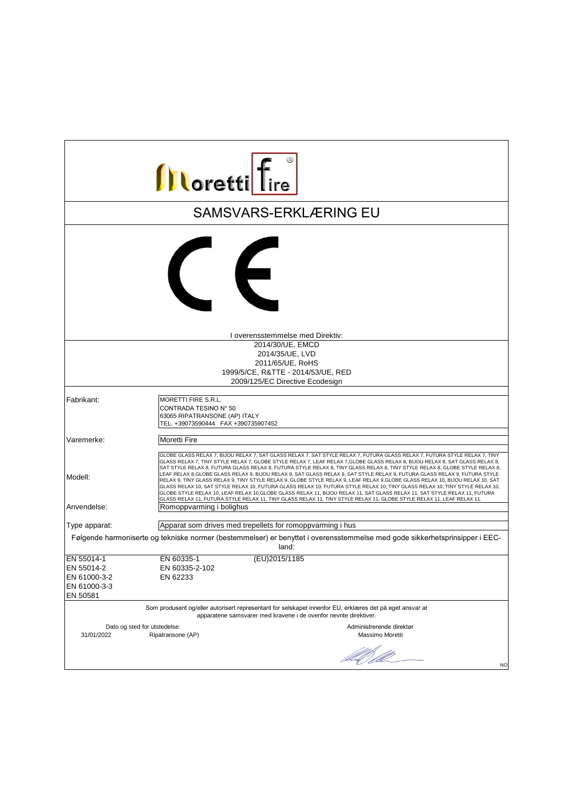| <b>Illoretti</b> Tire                                                                                                                |                                                                                                                                                                                                                                                                                                                                                                                                                                                                                                                                                                                                                                                                                                                                                                                                                                                                                                                                                                                                                                              |  |
|--------------------------------------------------------------------------------------------------------------------------------------|----------------------------------------------------------------------------------------------------------------------------------------------------------------------------------------------------------------------------------------------------------------------------------------------------------------------------------------------------------------------------------------------------------------------------------------------------------------------------------------------------------------------------------------------------------------------------------------------------------------------------------------------------------------------------------------------------------------------------------------------------------------------------------------------------------------------------------------------------------------------------------------------------------------------------------------------------------------------------------------------------------------------------------------------|--|
|                                                                                                                                      | <b>SAMSVARS-ERKLÆRING EU</b>                                                                                                                                                                                                                                                                                                                                                                                                                                                                                                                                                                                                                                                                                                                                                                                                                                                                                                                                                                                                                 |  |
|                                                                                                                                      | $\left($                                                                                                                                                                                                                                                                                                                                                                                                                                                                                                                                                                                                                                                                                                                                                                                                                                                                                                                                                                                                                                     |  |
|                                                                                                                                      | I overensstemmelse med Direktiv:                                                                                                                                                                                                                                                                                                                                                                                                                                                                                                                                                                                                                                                                                                                                                                                                                                                                                                                                                                                                             |  |
|                                                                                                                                      | 2014/30/UE. EMCD                                                                                                                                                                                                                                                                                                                                                                                                                                                                                                                                                                                                                                                                                                                                                                                                                                                                                                                                                                                                                             |  |
|                                                                                                                                      | 2014/35/UE, LVD                                                                                                                                                                                                                                                                                                                                                                                                                                                                                                                                                                                                                                                                                                                                                                                                                                                                                                                                                                                                                              |  |
|                                                                                                                                      | 2011/65/UE, RoHS                                                                                                                                                                                                                                                                                                                                                                                                                                                                                                                                                                                                                                                                                                                                                                                                                                                                                                                                                                                                                             |  |
|                                                                                                                                      | 1999/5/CE, R&TTE - 2014/53/UE, RED                                                                                                                                                                                                                                                                                                                                                                                                                                                                                                                                                                                                                                                                                                                                                                                                                                                                                                                                                                                                           |  |
|                                                                                                                                      | 2009/125/EC Directive Ecodesign                                                                                                                                                                                                                                                                                                                                                                                                                                                                                                                                                                                                                                                                                                                                                                                                                                                                                                                                                                                                              |  |
| Fabrikant:                                                                                                                           | MORETTI FIRE S.R.L.                                                                                                                                                                                                                                                                                                                                                                                                                                                                                                                                                                                                                                                                                                                                                                                                                                                                                                                                                                                                                          |  |
|                                                                                                                                      | CONTRADA TESINO N° 50<br>63065 RIPATRANSONE (AP) ITALY<br>TEL. +39073590444 FAX +390735907452                                                                                                                                                                                                                                                                                                                                                                                                                                                                                                                                                                                                                                                                                                                                                                                                                                                                                                                                                |  |
| Varemerke:                                                                                                                           | <b>Moretti Fire</b>                                                                                                                                                                                                                                                                                                                                                                                                                                                                                                                                                                                                                                                                                                                                                                                                                                                                                                                                                                                                                          |  |
| Modell:                                                                                                                              | GLOBE GLASS RELAX 7, BIJOU RELAX 7, SAT GLASS RELAX 7, SAT STYLE RELAX 7, FUTURA GLASS RELAX 7, FUTURA STYLE RELAX 7, TINY<br>GLASS RELAX 7, TINY STYLE RELAX 7, GLOBE STYLE RELAX 7, LEAF RELAX 7,GLOBE GLASS RELAX 8, BIJOU RELAX 8, SAT GLASS RELAX 8,<br>SAT STYLE RELAX 8, FUTURA GLASS RELAX 8, FUTURA STYLE RELAX 8, TINY GLASS RELAX 8, TINY STYLE RELAX 8, GLOBE STYLE RELAX 8,<br>LEAF RELAX 8, GLOBE GLASS RELAX 9, BIJOU RELAX 9, SAT GLASS RELAX 9, SAT STYLE RELAX 9, FUTURA GLASS RELAX 9, FUTURA STYLE<br>RELAX 9, TINY GLASS RELAX 9, TINY STYLE RELAX 9, GLOBE STYLE RELAX 9, LEAF RELAX 9, GLOBE GLASS RELAX 10, BIJOU RELAX 10, SAT<br>GLASS RELAX 10, SAT STYLE RELAX 10, FUTURA GLASS RELAX 10, FUTURA STYLE RELAX 10, TINY GLASS RELAX 10, TINY STYLE RELAX 10,<br>GLOBE STYLE RELAX 10, LEAF RELAX 10, GLOBE GLASS RELAX 11, BIJOU RELAX 11, SAT GLASS RELAX 11, SAT STYLE RELAX 11, FUTURA<br>GLASS RELAX 11, FUTURA STYLE RELAX 11, TINY GLASS RELAX 11, TINY STYLE RELAX 11, GLOBE STYLE RELAX 11, LEAF RELAX 11. |  |
| Anvendelse:                                                                                                                          | Romoppvarming i bolighus                                                                                                                                                                                                                                                                                                                                                                                                                                                                                                                                                                                                                                                                                                                                                                                                                                                                                                                                                                                                                     |  |
| Type apparat:                                                                                                                        | Apparat som drives med trepellets for romoppvarming i hus                                                                                                                                                                                                                                                                                                                                                                                                                                                                                                                                                                                                                                                                                                                                                                                                                                                                                                                                                                                    |  |
| Følgende harmoniserte og tekniske normer (bestemmelser) er benyttet i overensstemmelse med gode sikkerhetsprinsipper i EEC-<br>land: |                                                                                                                                                                                                                                                                                                                                                                                                                                                                                                                                                                                                                                                                                                                                                                                                                                                                                                                                                                                                                                              |  |
| EN 55014-1                                                                                                                           | (EU)2015/1185<br>EN 60335-1                                                                                                                                                                                                                                                                                                                                                                                                                                                                                                                                                                                                                                                                                                                                                                                                                                                                                                                                                                                                                  |  |
| EN 55014-2                                                                                                                           | EN 60335-2-102                                                                                                                                                                                                                                                                                                                                                                                                                                                                                                                                                                                                                                                                                                                                                                                                                                                                                                                                                                                                                               |  |
| EN 61000-3-2                                                                                                                         | EN 62233                                                                                                                                                                                                                                                                                                                                                                                                                                                                                                                                                                                                                                                                                                                                                                                                                                                                                                                                                                                                                                     |  |
| EN 61000-3-3<br>EN 50581                                                                                                             |                                                                                                                                                                                                                                                                                                                                                                                                                                                                                                                                                                                                                                                                                                                                                                                                                                                                                                                                                                                                                                              |  |
|                                                                                                                                      | Som produsent og/eller autorisert representant for selskapet innenfor EU, erklæres det på eget ansvar at<br>apparatene samsvarer med kravene i de ovenfor nevnte direktiver.                                                                                                                                                                                                                                                                                                                                                                                                                                                                                                                                                                                                                                                                                                                                                                                                                                                                 |  |
| 31/01/2022                                                                                                                           | Dato og sted for utstedelse:<br>Administrerende direktør<br>Massimo Moretti<br>Ripatransone (AP)                                                                                                                                                                                                                                                                                                                                                                                                                                                                                                                                                                                                                                                                                                                                                                                                                                                                                                                                             |  |
|                                                                                                                                      | DA SO<br><b>NO</b>                                                                                                                                                                                                                                                                                                                                                                                                                                                                                                                                                                                                                                                                                                                                                                                                                                                                                                                                                                                                                           |  |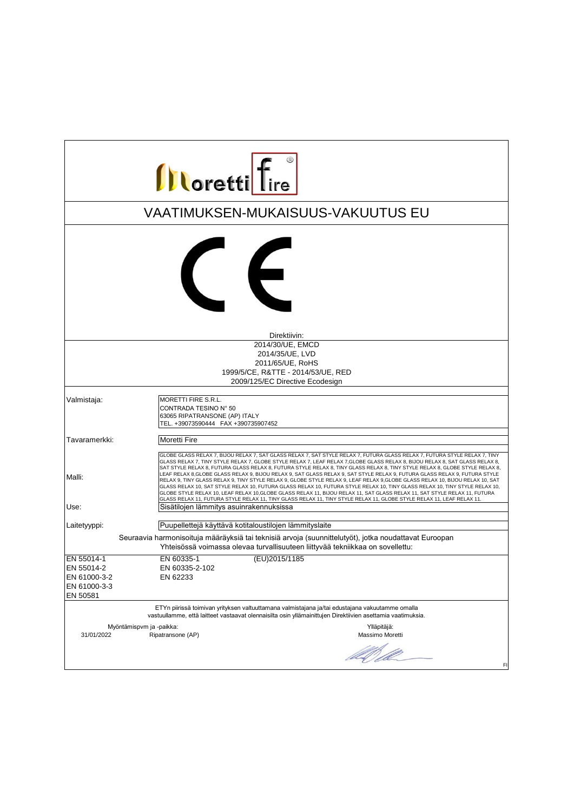| <b>Illoretti</b> Tire                                                |                                                                                                                                                                                                                                                                                                                                                                                                                                                                                                                                                                                                                                                                                                                                                                                                                                                                                                                                                                                                                                                                                         |  |
|----------------------------------------------------------------------|-----------------------------------------------------------------------------------------------------------------------------------------------------------------------------------------------------------------------------------------------------------------------------------------------------------------------------------------------------------------------------------------------------------------------------------------------------------------------------------------------------------------------------------------------------------------------------------------------------------------------------------------------------------------------------------------------------------------------------------------------------------------------------------------------------------------------------------------------------------------------------------------------------------------------------------------------------------------------------------------------------------------------------------------------------------------------------------------|--|
|                                                                      | VAATIMUKSEN-MUKAISUUS-VAKUUTUS EU                                                                                                                                                                                                                                                                                                                                                                                                                                                                                                                                                                                                                                                                                                                                                                                                                                                                                                                                                                                                                                                       |  |
|                                                                      | $\leftarrow$                                                                                                                                                                                                                                                                                                                                                                                                                                                                                                                                                                                                                                                                                                                                                                                                                                                                                                                                                                                                                                                                            |  |
|                                                                      | Direktiivin:                                                                                                                                                                                                                                                                                                                                                                                                                                                                                                                                                                                                                                                                                                                                                                                                                                                                                                                                                                                                                                                                            |  |
|                                                                      | 2014/30/UE, EMCD<br>2014/35/UE, LVD<br>2011/65/UE, RoHS<br>1999/5/CE, R&TTE - 2014/53/UE, RED<br>2009/125/EC Directive Ecodesign                                                                                                                                                                                                                                                                                                                                                                                                                                                                                                                                                                                                                                                                                                                                                                                                                                                                                                                                                        |  |
| Valmistaja:                                                          | MORETTI FIRE S.R.L.<br>CONTRADA TESINO N° 50<br>63065 RIPATRANSONE (AP) ITALY<br>TEL. +39073590444 FAX +390735907452                                                                                                                                                                                                                                                                                                                                                                                                                                                                                                                                                                                                                                                                                                                                                                                                                                                                                                                                                                    |  |
| Tavaramerkki:                                                        | Moretti Fire                                                                                                                                                                                                                                                                                                                                                                                                                                                                                                                                                                                                                                                                                                                                                                                                                                                                                                                                                                                                                                                                            |  |
| Malli:<br>Use:                                                       | GLOBE GLASS RELAX 7, BIJOU RELAX 7, SAT GLASS RELAX 7, SAT STYLE RELAX 7, FUTURA GLASS RELAX 7, FUTURA STYLE RELAX 7, TINY<br>GLASS RELAX 7, TINY STYLE RELAX 7, GLOBE STYLE RELAX 7, LEAF RELAX 7, GLOBE GLASS RELAX 8, BIJOU RELAX 8, SAT GLASS RELAX 8,<br>SAT STYLE RELAX 8, FUTURA GLASS RELAX 8, FUTURA STYLE RELAX 8, TINY GLASS RELAX 8, TINY STYLE RELAX 8, GLOBE STYLE RELAX 8,<br>LEAF RELAX 8,GLOBE GLASS RELAX 9, BIJOU RELAX 9, SAT GLASS RELAX 9, SAT STYLE RELAX 9, FUTURA GLASS RELAX 9, FUTURA STYLE<br>RELAX 9, TINY GLASS RELAX 9, TINY STYLE RELAX 9, GLOBE STYLE RELAX 9, LEAF RELAX 9, GLOBE GLASS RELAX 10, BIJOU RELAX 10, SAT<br>GLASS RELAX 10, SAT STYLE RELAX 10, FUTURA GLASS RELAX 10, FUTURA STYLE RELAX 10, TINY GLASS RELAX 10, TINY STYLE RELAX 10,<br>GLOBE STYLE RELAX 10, LEAF RELAX 10, GLOBE GLASS RELAX 11, BIJOU RELAX 11, SAT GLASS RELAX 11, SAT STYLE RELAX 11, FUTURA<br>GLASS RELAX 11, FUTURA STYLE RELAX 11, TINY GLASS RELAX 11, TINY STYLE RELAX 11, GLOBE STYLE RELAX 11, LEAF RELAX 11.<br>Sisätilojen lämmitys asuinrakennuksissa |  |
|                                                                      |                                                                                                                                                                                                                                                                                                                                                                                                                                                                                                                                                                                                                                                                                                                                                                                                                                                                                                                                                                                                                                                                                         |  |
| Laitetyyppi:                                                         | Puupellettejä käyttävä kotitaloustilojen lämmityslaite                                                                                                                                                                                                                                                                                                                                                                                                                                                                                                                                                                                                                                                                                                                                                                                                                                                                                                                                                                                                                                  |  |
|                                                                      | Seuraavia harmonisoituja määräyksiä tai teknisiä arvoja (suunnittelutyöt), jotka noudattavat Euroopan<br>Yhteisössä voimassa olevaa turvallisuuteen liittyvää tekniikkaa on sovellettu:                                                                                                                                                                                                                                                                                                                                                                                                                                                                                                                                                                                                                                                                                                                                                                                                                                                                                                 |  |
| EN 55014-1<br>EN 55014-2<br>EN 61000-3-2<br>EN 61000-3-3<br>EN 50581 | (EU)2015/1185<br>EN 60335-1<br>EN 60335-2-102<br>EN 62233                                                                                                                                                                                                                                                                                                                                                                                                                                                                                                                                                                                                                                                                                                                                                                                                                                                                                                                                                                                                                               |  |
|                                                                      | ETYn piirissä toimivan yrityksen valtuuttamana valmistajana ja/tai edustajana vakuutamme omalla<br>vastuullamme, että laitteet vastaavat olennaisilta osin yllämainittujen Direktiivien asettamia vaatimuksia.                                                                                                                                                                                                                                                                                                                                                                                                                                                                                                                                                                                                                                                                                                                                                                                                                                                                          |  |
| 31/01/2022                                                           | Myöntämispvm ja -paikka:<br>Ylläpitäjä:<br>Ripatransone (AP)<br>Massimo Moretti<br>let of file<br>FI                                                                                                                                                                                                                                                                                                                                                                                                                                                                                                                                                                                                                                                                                                                                                                                                                                                                                                                                                                                    |  |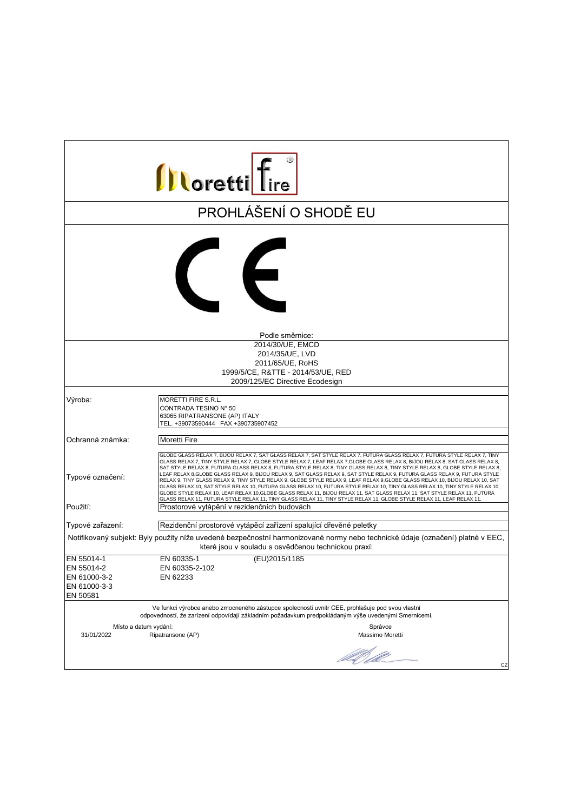| <b>Illoretti</b> Tire                                                                                                                                                                 |                                                                                                                                                                                                                                                                                                                                                                                                                                                                                                                                                                                                                                                                                                                                                                                                                                                                                                                                                                                                                                                                                           |  |
|---------------------------------------------------------------------------------------------------------------------------------------------------------------------------------------|-------------------------------------------------------------------------------------------------------------------------------------------------------------------------------------------------------------------------------------------------------------------------------------------------------------------------------------------------------------------------------------------------------------------------------------------------------------------------------------------------------------------------------------------------------------------------------------------------------------------------------------------------------------------------------------------------------------------------------------------------------------------------------------------------------------------------------------------------------------------------------------------------------------------------------------------------------------------------------------------------------------------------------------------------------------------------------------------|--|
|                                                                                                                                                                                       | PROHLÁŠENÍ O SHODĚ EU                                                                                                                                                                                                                                                                                                                                                                                                                                                                                                                                                                                                                                                                                                                                                                                                                                                                                                                                                                                                                                                                     |  |
|                                                                                                                                                                                       | $\epsilon$                                                                                                                                                                                                                                                                                                                                                                                                                                                                                                                                                                                                                                                                                                                                                                                                                                                                                                                                                                                                                                                                                |  |
|                                                                                                                                                                                       | Podle směrnice:                                                                                                                                                                                                                                                                                                                                                                                                                                                                                                                                                                                                                                                                                                                                                                                                                                                                                                                                                                                                                                                                           |  |
|                                                                                                                                                                                       | 2014/30/UE, EMCD                                                                                                                                                                                                                                                                                                                                                                                                                                                                                                                                                                                                                                                                                                                                                                                                                                                                                                                                                                                                                                                                          |  |
|                                                                                                                                                                                       | 2014/35/UE, LVD                                                                                                                                                                                                                                                                                                                                                                                                                                                                                                                                                                                                                                                                                                                                                                                                                                                                                                                                                                                                                                                                           |  |
|                                                                                                                                                                                       | 2011/65/UE, RoHS                                                                                                                                                                                                                                                                                                                                                                                                                                                                                                                                                                                                                                                                                                                                                                                                                                                                                                                                                                                                                                                                          |  |
|                                                                                                                                                                                       | 1999/5/CE, R&TTE - 2014/53/UE, RED                                                                                                                                                                                                                                                                                                                                                                                                                                                                                                                                                                                                                                                                                                                                                                                                                                                                                                                                                                                                                                                        |  |
|                                                                                                                                                                                       | 2009/125/EC Directive Ecodesign                                                                                                                                                                                                                                                                                                                                                                                                                                                                                                                                                                                                                                                                                                                                                                                                                                                                                                                                                                                                                                                           |  |
| Výroba:                                                                                                                                                                               | MORETTI FIRE S.R.L.<br>CONTRADA TESINO N° 50<br>63065 RIPATRANSONE (AP) ITALY<br>TEL. +39073590444 FAX +390735907452                                                                                                                                                                                                                                                                                                                                                                                                                                                                                                                                                                                                                                                                                                                                                                                                                                                                                                                                                                      |  |
| Ochranná známka:                                                                                                                                                                      | <b>Moretti Fire</b>                                                                                                                                                                                                                                                                                                                                                                                                                                                                                                                                                                                                                                                                                                                                                                                                                                                                                                                                                                                                                                                                       |  |
| Typové označení:<br>Použití:                                                                                                                                                          | GLOBE GLASS RELAX 7, BIJOU RELAX 7, SAT GLASS RELAX 7, SAT STYLE RELAX 7, FUTURA GLASS RELAX 7, FUTURA STYLE RELAX 7, TINY<br>GLASS RELAX 7, TINY STYLE RELAX 7, GLOBE STYLE RELAX 7, LEAF RELAX 7,GLOBE GLASS RELAX 8, BIJOU RELAX 8, SAT GLASS RELAX 8,<br>SAT STYLE RELAX 8, FUTURA GLASS RELAX 8, FUTURA STYLE RELAX 8, TINY GLASS RELAX 8, TINY STYLE RELAX 8, GLOBE STYLE RELAX 8,<br>LEAF RELAX 8,GLOBE GLASS RELAX 9, BIJOU RELAX 9, SAT GLASS RELAX 9, SAT STYLE RELAX 9, FUTURA GLASS RELAX 9, FUTURA STYLE<br>RELAX 9, TINY GLASS RELAX 9, TINY STYLE RELAX 9, GLOBE STYLE RELAX 9, LEAF RELAX 9,GLOBE GLASS RELAX 10, BIJOU RELAX 10, SAT<br>GLASS RELAX 10, SAT STYLE RELAX 10, FUTURA GLASS RELAX 10, FUTURA STYLE RELAX 10, TINY GLASS RELAX 10, TINY STYLE RELAX 10,<br>GLOBE STYLE RELAX 10, LEAF RELAX 10, GLOBE GLASS RELAX 11, BIJOU RELAX 11, SAT GLASS RELAX 11, SAT STYLE RELAX 11, FUTURA<br>GLASS RELAX 11, FUTURA STYLE RELAX 11, TINY GLASS RELAX 11, TINY STYLE RELAX 11, GLOBE STYLE RELAX 11, LEAF RELAX 11.<br>Prostorové vytápění v rezidenčních budovách |  |
|                                                                                                                                                                                       |                                                                                                                                                                                                                                                                                                                                                                                                                                                                                                                                                                                                                                                                                                                                                                                                                                                                                                                                                                                                                                                                                           |  |
| Typové zařazení:                                                                                                                                                                      | Rezidenční prostorové vytápěcí zařízení spalující dřevěné peletky                                                                                                                                                                                                                                                                                                                                                                                                                                                                                                                                                                                                                                                                                                                                                                                                                                                                                                                                                                                                                         |  |
| Notifikovaný subjekt: Byly použity níže uvedené bezpečnostní harmonizované normy nebo technické údaje (označení) platné v EEC,<br>které jsou v souladu s osvědčenou technickou praxí: |                                                                                                                                                                                                                                                                                                                                                                                                                                                                                                                                                                                                                                                                                                                                                                                                                                                                                                                                                                                                                                                                                           |  |
| EN 55014-1                                                                                                                                                                            | (EU)2015/1185<br>EN 60335-1                                                                                                                                                                                                                                                                                                                                                                                                                                                                                                                                                                                                                                                                                                                                                                                                                                                                                                                                                                                                                                                               |  |
| EN 55014-2                                                                                                                                                                            | EN 60335-2-102                                                                                                                                                                                                                                                                                                                                                                                                                                                                                                                                                                                                                                                                                                                                                                                                                                                                                                                                                                                                                                                                            |  |
| EN 61000-3-2                                                                                                                                                                          | EN 62233                                                                                                                                                                                                                                                                                                                                                                                                                                                                                                                                                                                                                                                                                                                                                                                                                                                                                                                                                                                                                                                                                  |  |
| EN 61000-3-3                                                                                                                                                                          |                                                                                                                                                                                                                                                                                                                                                                                                                                                                                                                                                                                                                                                                                                                                                                                                                                                                                                                                                                                                                                                                                           |  |
| EN 50581                                                                                                                                                                              |                                                                                                                                                                                                                                                                                                                                                                                                                                                                                                                                                                                                                                                                                                                                                                                                                                                                                                                                                                                                                                                                                           |  |
|                                                                                                                                                                                       | Ve funkci výrobce anebo zmocneného zástupce spolecnosti uvnitr CEE, prohlašuje pod svou vlastní<br>odpovedností, že zarízení odpovídají základním požadavkum predpokládaným výše uvedenými Smernicemi.                                                                                                                                                                                                                                                                                                                                                                                                                                                                                                                                                                                                                                                                                                                                                                                                                                                                                    |  |
| Místo a datum vydání:                                                                                                                                                                 | Správce                                                                                                                                                                                                                                                                                                                                                                                                                                                                                                                                                                                                                                                                                                                                                                                                                                                                                                                                                                                                                                                                                   |  |
| 31/01/2022                                                                                                                                                                            | Ripatransone (AP)<br>Massimo Moretti<br>UM CO<br>CZ                                                                                                                                                                                                                                                                                                                                                                                                                                                                                                                                                                                                                                                                                                                                                                                                                                                                                                                                                                                                                                       |  |